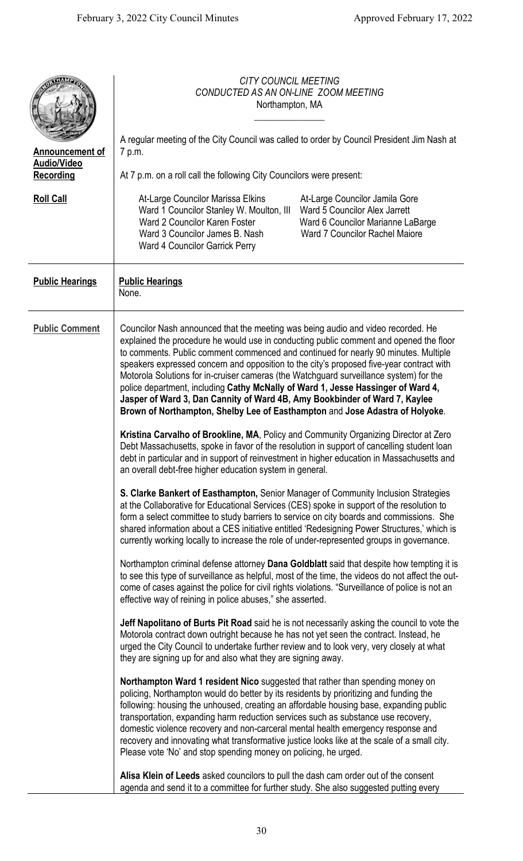|                                                                  | <b>CITY COUNCIL MEETING</b><br>CONDUCTED AS AN ON-LINE ZOOM MEETING<br>Northampton, MA<br>A regular meeting of the City Council was called to order by Council President Jim Nash at                                                                                                                                                                                                                                                                                                                                                                                                                                                                                                                                                                                                                                                                                                                                                                                                                                                                                                                                                                                                                                                                                                                                                                                                                                                                                                                                                                                                                                                                                                                                                                                                                                                     |
|------------------------------------------------------------------|------------------------------------------------------------------------------------------------------------------------------------------------------------------------------------------------------------------------------------------------------------------------------------------------------------------------------------------------------------------------------------------------------------------------------------------------------------------------------------------------------------------------------------------------------------------------------------------------------------------------------------------------------------------------------------------------------------------------------------------------------------------------------------------------------------------------------------------------------------------------------------------------------------------------------------------------------------------------------------------------------------------------------------------------------------------------------------------------------------------------------------------------------------------------------------------------------------------------------------------------------------------------------------------------------------------------------------------------------------------------------------------------------------------------------------------------------------------------------------------------------------------------------------------------------------------------------------------------------------------------------------------------------------------------------------------------------------------------------------------------------------------------------------------------------------------------------------------|
| <b>Announcement of</b><br><b>Audio/Video</b><br><b>Recording</b> | 7 p.m.<br>At 7 p.m. on a roll call the following City Councilors were present:                                                                                                                                                                                                                                                                                                                                                                                                                                                                                                                                                                                                                                                                                                                                                                                                                                                                                                                                                                                                                                                                                                                                                                                                                                                                                                                                                                                                                                                                                                                                                                                                                                                                                                                                                           |
| <b>Roll Call</b>                                                 | At-Large Councilor Marissa Elkins<br>At-Large Councilor Jamila Gore<br>Ward 5 Councilor Alex Jarrett<br>Ward 1 Councilor Stanley W. Moulton, III<br>Ward 2 Councilor Karen Foster<br>Ward 6 Councilor Marianne LaBarge<br>Ward 3 Councilor James B. Nash<br><b>Ward 7 Councilor Rachel Majore</b><br>Ward 4 Councilor Garrick Perry                                                                                                                                                                                                                                                                                                                                                                                                                                                                                                                                                                                                                                                                                                                                                                                                                                                                                                                                                                                                                                                                                                                                                                                                                                                                                                                                                                                                                                                                                                      |
| <b>Public Hearings</b>                                           | <b>Public Hearings</b><br>None.                                                                                                                                                                                                                                                                                                                                                                                                                                                                                                                                                                                                                                                                                                                                                                                                                                                                                                                                                                                                                                                                                                                                                                                                                                                                                                                                                                                                                                                                                                                                                                                                                                                                                                                                                                                                          |
| <b>Public Comment</b>                                            | Councilor Nash announced that the meeting was being audio and video recorded. He<br>explained the procedure he would use in conducting public comment and opened the floor<br>to comments. Public comment commenced and continued for nearly 90 minutes. Multiple<br>speakers expressed concern and opposition to the city's proposed five-year contract with<br>Motorola Solutions for in-cruiser cameras (the Watchguard surveillance system) for the<br>police department, including Cathy McNally of Ward 1, Jesse Hassinger of Ward 4,<br>Jasper of Ward 3, Dan Cannity of Ward 4B, Amy Bookbinder of Ward 7, Kaylee<br>Brown of Northampton, Shelby Lee of Easthampton and Jose Adastra of Holyoke.<br>Kristina Carvalho of Brookline, MA, Policy and Community Organizing Director at Zero<br>Debt Massachusetts, spoke in favor of the resolution in support of cancelling student loan<br>debt in particular and in support of reinvestment in higher education in Massachusetts and<br>an overall debt-free higher education system in general.<br>S. Clarke Bankert of Easthampton, Senior Manager of Community Inclusion Strategies<br>at the Collaborative for Educational Services (CES) spoke in support of the resolution to<br>form a select committee to study barriers to service on city boards and commissions. She<br>shared information about a CES initiative entitled 'Redesigning Power Structures,' which is<br>currently working locally to increase the role of under-represented groups in governance.<br>Northampton criminal defense attorney Dana Goldblatt said that despite how tempting it is<br>to see this type of surveillance as helpful, most of the time, the videos do not affect the out-<br>come of cases against the police for civil rights violations. "Surveillance of police is not an |
|                                                                  | effective way of reining in police abuses," she asserted.<br>Jeff Napolitano of Burts Pit Road said he is not necessarily asking the council to vote the<br>Motorola contract down outright because he has not yet seen the contract. Instead, he<br>urged the City Council to undertake further review and to look very, very closely at what<br>they are signing up for and also what they are signing away.<br>Northampton Ward 1 resident Nico suggested that rather than spending money on<br>policing, Northampton would do better by its residents by prioritizing and funding the<br>following: housing the unhoused, creating an affordable housing base, expanding public<br>transportation, expanding harm reduction services such as substance use recovery,<br>domestic violence recovery and non-carceral mental health emergency response and<br>recovery and innovating what transformative justice looks like at the scale of a small city.<br>Please vote 'No' and stop spending money on policing, he urged.<br>Alisa Klein of Leeds asked councilors to pull the dash cam order out of the consent<br>agenda and send it to a committee for further study. She also suggested putting every                                                                                                                                                                                                                                                                                                                                                                                                                                                                                                                                                                                                                          |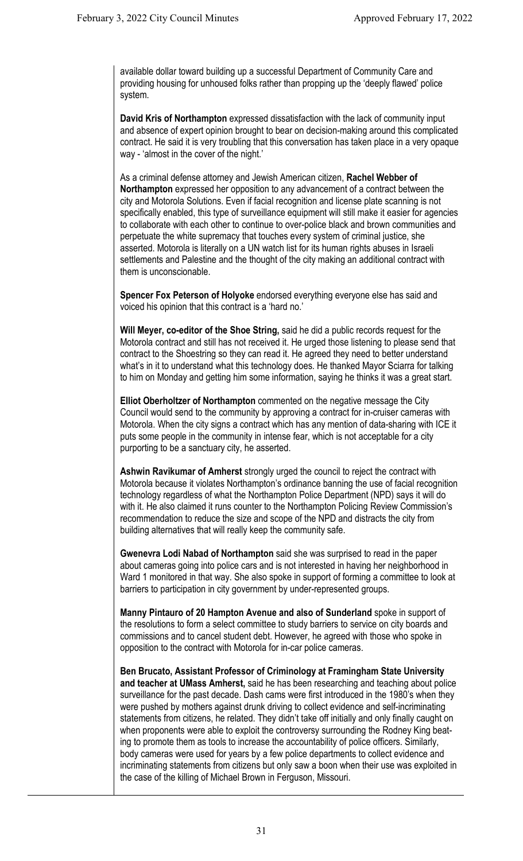available dollar toward building up a successful Department of Community Care and providing housing for unhoused folks rather than propping up the 'deeply flawed' police system.

**David Kris of Northampton** expressed dissatisfaction with the lack of community input and absence of expert opinion brought to bear on decision-making around this complicated contract. He said it is very troubling that this conversation has taken place in a very opaque way - 'almost in the cover of the night.'

As a criminal defense attorney and Jewish American citizen, **Rachel Webber of Northampton** expressed her opposition to any advancement of a contract between the city and Motorola Solutions. Even if facial recognition and license plate scanning is not specifically enabled, this type of surveillance equipment will still make it easier for agencies to collaborate with each other to continue to over-police black and brown communities and perpetuate the white supremacy that touches every system of criminal justice, she asserted. Motorola is literally on a UN watch list for its human rights abuses in Israeli settlements and Palestine and the thought of the city making an additional contract with them is unconscionable.

**Spencer Fox Peterson of Holyoke** endorsed everything everyone else has said and voiced his opinion that this contract is a 'hard no.'

**Will Meyer, co-editor of the Shoe String,** said he did a public records request for the Motorola contract and still has not received it. He urged those listening to please send that contract to the Shoestring so they can read it. He agreed they need to better understand what's in it to understand what this technology does. He thanked Mayor Sciarra for talking to him on Monday and getting him some information, saying he thinks it was a great start.

**Elliot Oberholtzer of Northampton** commented on the negative message the City Council would send to the community by approving a contract for in-cruiser cameras with Motorola. When the city signs a contract which has any mention of data-sharing with ICE it puts some people in the community in intense fear, which is not acceptable for a city purporting to be a sanctuary city, he asserted.

**Ashwin Ravikumar of Amherst** strongly urged the council to reject the contract with Motorola because it violates Northampton's ordinance banning the use of facial recognition technology regardless of what the Northampton Police Department (NPD) says it will do with it. He also claimed it runs counter to the Northampton Policing Review Commission's recommendation to reduce the size and scope of the NPD and distracts the city from building alternatives that will really keep the community safe.

**Gwenevra Lodi Nabad of Northampton** said she was surprised to read in the paper about cameras going into police cars and is not interested in having her neighborhood in Ward 1 monitored in that way. She also spoke in support of forming a committee to look at barriers to participation in city government by under-represented groups.

**Manny Pintauro of 20 Hampton Avenue and also of Sunderland** spoke in support of the resolutions to form a select committee to study barriers to service on city boards and commissions and to cancel student debt. However, he agreed with those who spoke in opposition to the contract with Motorola for in-car police cameras.

**Ben Brucato, Assistant Professor of Criminology at Framingham State University and teacher at UMass Amherst,** said he has been researching and teaching about police surveillance for the past decade. Dash cams were first introduced in the 1980's when they were pushed by mothers against drunk driving to collect evidence and self-incriminating statements from citizens, he related. They didn't take off initially and only finally caught on when proponents were able to exploit the controversy surrounding the Rodney King beating to promote them as tools to increase the accountability of police officers. Similarly, body cameras were used for years by a few police departments to collect evidence and incriminating statements from citizens but only saw a boon when their use was exploited in the case of the killing of Michael Brown in Ferguson, Missouri.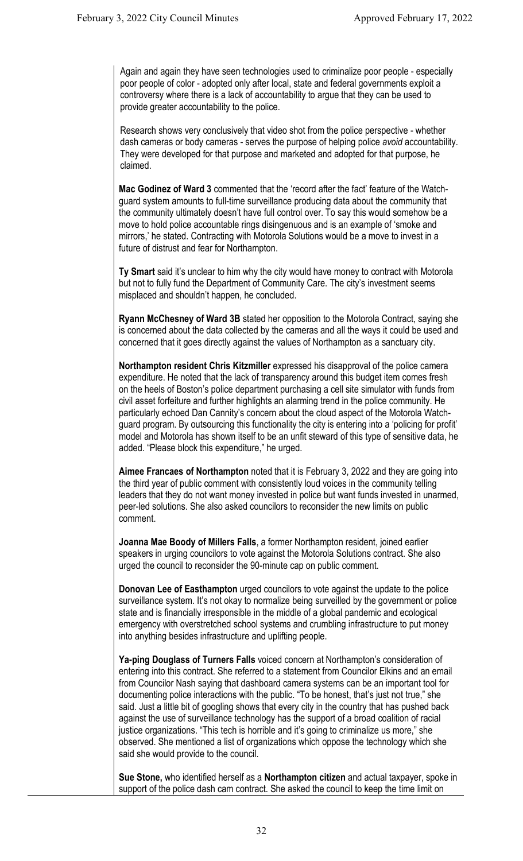Again and again they have seen technologies used to criminalize poor people - especially poor people of color - adopted only after local, state and federal governments exploit a controversy where there is a lack of accountability to argue that they can be used to provide greater accountability to the police.

Research shows very conclusively that video shot from the police perspective - whether dash cameras or body cameras - serves the purpose of helping police *avoid* accountability. They were developed for that purpose and marketed and adopted for that purpose, he claimed.

**Mac Godinez of Ward 3** commented that the 'record after the fact' feature of the Watchguard system amounts to full-time surveillance producing data about the community that the community ultimately doesn't have full control over. To say this would somehow be a move to hold police accountable rings disingenuous and is an example of 'smoke and mirrors,' he stated. Contracting with Motorola Solutions would be a move to invest in a future of distrust and fear for Northampton.

**Ty Smart** said it's unclear to him why the city would have money to contract with Motorola but not to fully fund the Department of Community Care. The city's investment seems misplaced and shouldn't happen, he concluded.

**Ryann McChesney of Ward 3B** stated her opposition to the Motorola Contract, saying she is concerned about the data collected by the cameras and all the ways it could be used and concerned that it goes directly against the values of Northampton as a sanctuary city.

**Northampton resident Chris Kitzmiller** expressed his disapproval of the police camera expenditure. He noted that the lack of transparency around this budget item comes fresh on the heels of Boston's police department purchasing a cell site simulator with funds from civil asset forfeiture and further highlights an alarming trend in the police community. He particularly echoed Dan Cannity's concern about the cloud aspect of the Motorola Watchguard program. By outsourcing this functionality the city is entering into a 'policing for profit' model and Motorola has shown itself to be an unfit steward of this type of sensitive data, he added. "Please block this expenditure," he urged.

**Aimee Francaes of Northampton** noted that it is February 3, 2022 and they are going into the third year of public comment with consistently loud voices in the community telling leaders that they do not want money invested in police but want funds invested in unarmed, peer-led solutions. She also asked councilors to reconsider the new limits on public comment.

**Joanna Mae Boody of Millers Falls**, a former Northampton resident, joined earlier speakers in urging councilors to vote against the Motorola Solutions contract. She also urged the council to reconsider the 90-minute cap on public comment.

**Donovan Lee of Easthampton** urged councilors to vote against the update to the police surveillance system. It's not okay to normalize being surveilled by the government or police state and is financially irresponsible in the middle of a global pandemic and ecological emergency with overstretched school systems and crumbling infrastructure to put money into anything besides infrastructure and uplifting people.

**Ya-ping Douglass of Turners Falls** voiced concern at Northampton's consideration of entering into this contract. She referred to a statement from Councilor Elkins and an email from Councilor Nash saying that dashboard camera systems can be an important tool for documenting police interactions with the public. "To be honest, that's just not true," she said. Just a little bit of googling shows that every city in the country that has pushed back against the use of surveillance technology has the support of a broad coalition of racial justice organizations. "This tech is horrible and it's going to criminalize us more," she observed. She mentioned a list of organizations which oppose the technology which she said she would provide to the council.

**Sue Stone,** who identified herself as a **Northampton citizen** and actual taxpayer, spoke in support of the police dash cam contract. She asked the council to keep the time limit on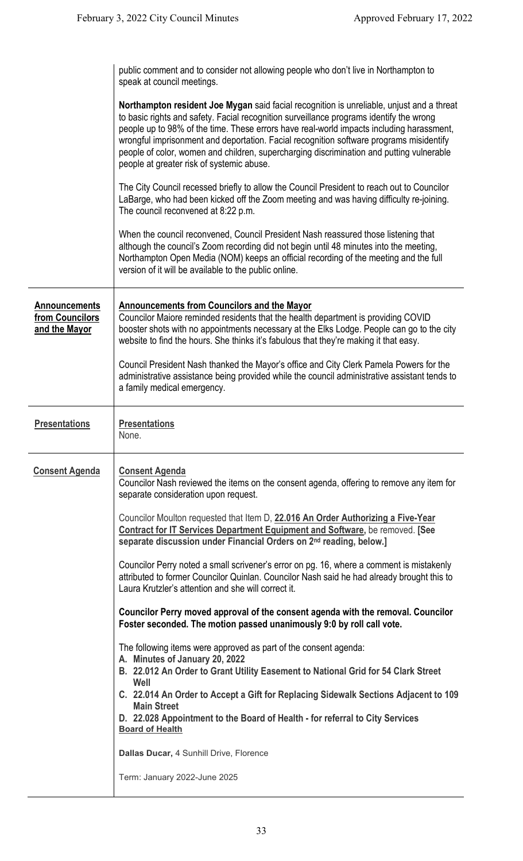|                                                          | public comment and to consider not allowing people who don't live in Northampton to<br>speak at council meetings.                                                                                                                                                                                                                                                                                                                                                                                                    |
|----------------------------------------------------------|----------------------------------------------------------------------------------------------------------------------------------------------------------------------------------------------------------------------------------------------------------------------------------------------------------------------------------------------------------------------------------------------------------------------------------------------------------------------------------------------------------------------|
|                                                          | Northampton resident Joe Mygan said facial recognition is unreliable, unjust and a threat<br>to basic rights and safety. Facial recognition surveillance programs identify the wrong<br>people up to 98% of the time. These errors have real-world impacts including harassment,<br>wrongful imprisonment and deportation. Facial recognition software programs misidentify<br>people of color, women and children, supercharging discrimination and putting vulnerable<br>people at greater risk of systemic abuse. |
|                                                          | The City Council recessed briefly to allow the Council President to reach out to Councilor<br>LaBarge, who had been kicked off the Zoom meeting and was having difficulty re-joining.<br>The council reconvened at 8:22 p.m.                                                                                                                                                                                                                                                                                         |
|                                                          | When the council reconvened, Council President Nash reassured those listening that<br>although the council's Zoom recording did not begin until 48 minutes into the meeting,<br>Northampton Open Media (NOM) keeps an official recording of the meeting and the full<br>version of it will be available to the public online.                                                                                                                                                                                        |
| <b>Announcements</b><br>from Councilors<br>and the Mayor | <b>Announcements from Councilors and the Mayor</b><br>Councilor Maiore reminded residents that the health department is providing COVID<br>booster shots with no appointments necessary at the Elks Lodge. People can go to the city<br>website to find the hours. She thinks it's fabulous that they're making it that easy.                                                                                                                                                                                        |
|                                                          | Council President Nash thanked the Mayor's office and City Clerk Pamela Powers for the<br>administrative assistance being provided while the council administrative assistant tends to<br>a family medical emergency.                                                                                                                                                                                                                                                                                                |
| <b>Presentations</b>                                     | <b>Presentations</b><br>None.                                                                                                                                                                                                                                                                                                                                                                                                                                                                                        |
| <b>Consent Agenda</b>                                    | <b>Consent Agenda</b><br>Councilor Nash reviewed the items on the consent agenda, offering to remove any item for<br>separate consideration upon request.                                                                                                                                                                                                                                                                                                                                                            |
|                                                          | Councilor Moulton requested that Item D, 22.016 An Order Authorizing a Five-Year<br><b>Contract for IT Services Department Equipment and Software, be removed. [See</b><br>separate discussion under Financial Orders on 2 <sup>nd</sup> reading, below.]                                                                                                                                                                                                                                                            |
|                                                          | Councilor Perry noted a small scrivener's error on pg. 16, where a comment is mistakenly<br>attributed to former Councilor Quinlan. Councilor Nash said he had already brought this to<br>Laura Krutzler's attention and she will correct it.                                                                                                                                                                                                                                                                        |
|                                                          | Councilor Perry moved approval of the consent agenda with the removal. Councilor<br>Foster seconded. The motion passed unanimously 9:0 by roll call vote.                                                                                                                                                                                                                                                                                                                                                            |
|                                                          | The following items were approved as part of the consent agenda:<br>A. Minutes of January 20, 2022<br>B. 22.012 An Order to Grant Utility Easement to National Grid for 54 Clark Street                                                                                                                                                                                                                                                                                                                              |
|                                                          | Well<br>C. 22.014 An Order to Accept a Gift for Replacing Sidewalk Sections Adjacent to 109<br><b>Main Street</b><br>D. 22.028 Appointment to the Board of Health - for referral to City Services                                                                                                                                                                                                                                                                                                                    |
|                                                          |                                                                                                                                                                                                                                                                                                                                                                                                                                                                                                                      |
|                                                          | <b>Board of Health</b>                                                                                                                                                                                                                                                                                                                                                                                                                                                                                               |
|                                                          | Dallas Ducar, 4 Sunhill Drive, Florence<br>Term: January 2022-June 2025                                                                                                                                                                                                                                                                                                                                                                                                                                              |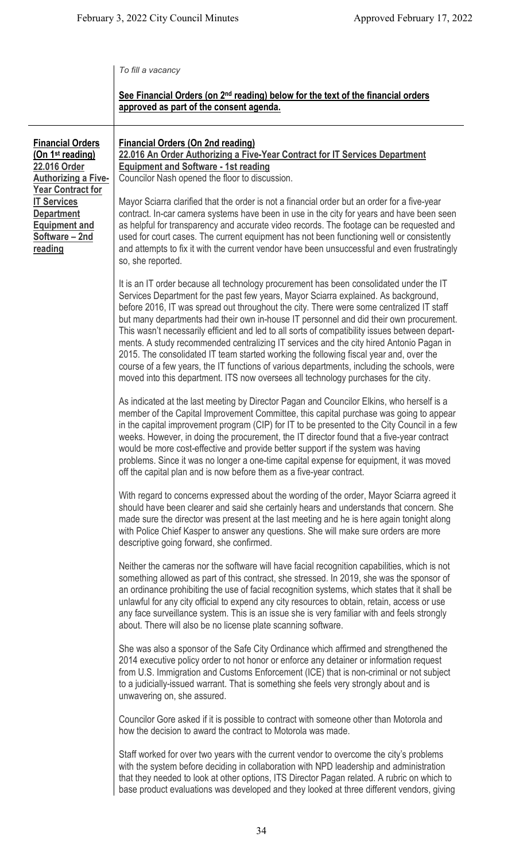|  |  | To fill a vacancy |
|--|--|-------------------|
|  |  |                   |

## **See Financial Orders (on 2nd reading) below for the text of the financial orders approved as part of the consent agenda.**

**Financial Orders (On 1st reading) 22.016 Order Authorizing a Five-Year Contract for IT Services Department Equipment and Software – 2nd reading**

## **Financial Orders (On 2nd reading) 22.016 An Order Authorizing a Five-Year Contract for IT Services Department Equipment and Software - 1st reading** Councilor Nash opened the floor to discussion.

Mayor Sciarra clarified that the order is not a financial order but an order for a five-year contract. In-car camera systems have been in use in the city for years and have been seen as helpful for transparency and accurate video records. The footage can be requested and used for court cases. The current equipment has not been functioning well or consistently and attempts to fix it with the current vendor have been unsuccessful and even frustratingly so, she reported.

It is an IT order because all technology procurement has been consolidated under the IT Services Department for the past few years, Mayor Sciarra explained. As background, before 2016, IT was spread out throughout the city. There were some centralized IT staff but many departments had their own in-house IT personnel and did their own procurement. This wasn't necessarily efficient and led to all sorts of compatibility issues between departments. A study recommended centralizing IT services and the city hired Antonio Pagan in 2015. The consolidated IT team started working the following fiscal year and, over the course of a few years, the IT functions of various departments, including the schools, were moved into this department. ITS now oversees all technology purchases for the city.

As indicated at the last meeting by Director Pagan and Councilor Elkins, who herself is a member of the Capital Improvement Committee, this capital purchase was going to appear in the capital improvement program (CIP) for IT to be presented to the City Council in a few weeks. However, in doing the procurement, the IT director found that a five-year contract would be more cost-effective and provide better support if the system was having problems. Since it was no longer a one-time capital expense for equipment, it was moved off the capital plan and is now before them as a five-year contract.

With regard to concerns expressed about the wording of the order, Mayor Sciarra agreed it should have been clearer and said she certainly hears and understands that concern. She made sure the director was present at the last meeting and he is here again tonight along with Police Chief Kasper to answer any questions. She will make sure orders are more descriptive going forward, she confirmed.

Neither the cameras nor the software will have facial recognition capabilities, which is not something allowed as part of this contract, she stressed. In 2019, she was the sponsor of an ordinance prohibiting the use of facial recognition systems, which states that it shall be unlawful for any city official to expend any city resources to obtain, retain, access or use any face surveillance system. This is an issue she is very familiar with and feels strongly about. There will also be no license plate scanning software.

She was also a sponsor of the Safe City Ordinance which affirmed and strengthened the 2014 executive policy order to not honor or enforce any detainer or information request from U.S. Immigration and Customs Enforcement (ICE) that is non-criminal or not subject to a judicially-issued warrant. That is something she feels very strongly about and is unwavering on, she assured.

Councilor Gore asked if it is possible to contract with someone other than Motorola and how the decision to award the contract to Motorola was made.

Staff worked for over two years with the current vendor to overcome the city's problems with the system before deciding in collaboration with NPD leadership and administration that they needed to look at other options, ITS Director Pagan related. A rubric on which to base product evaluations was developed and they looked at three different vendors, giving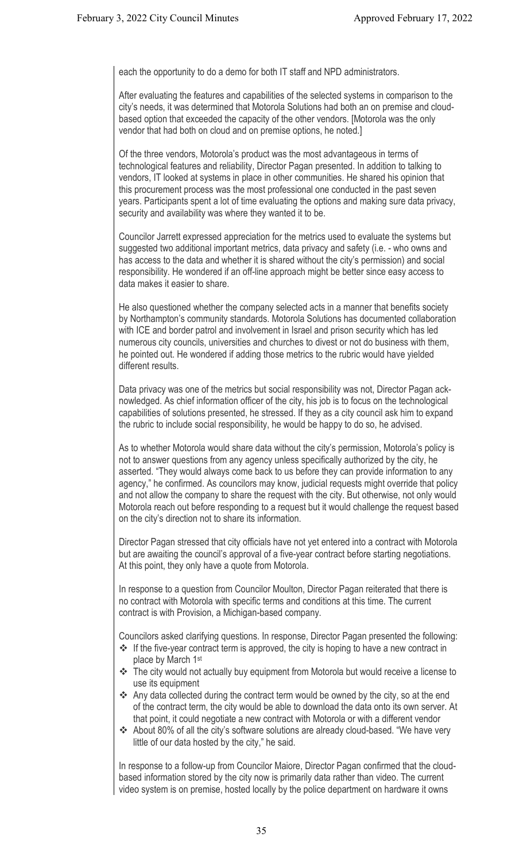each the opportunity to do a demo for both IT staff and NPD administrators.

After evaluating the features and capabilities of the selected systems in comparison to the city's needs, it was determined that Motorola Solutions had both an on premise and cloudbased option that exceeded the capacity of the other vendors. [Motorola was the only vendor that had both on cloud and on premise options, he noted.]

Of the three vendors, Motorola's product was the most advantageous in terms of technological features and reliability, Director Pagan presented. In addition to talking to vendors, IT looked at systems in place in other communities. He shared his opinion that this procurement process was the most professional one conducted in the past seven years. Participants spent a lot of time evaluating the options and making sure data privacy, security and availability was where they wanted it to be.

Councilor Jarrett expressed appreciation for the metrics used to evaluate the systems but suggested two additional important metrics, data privacy and safety (i.e. - who owns and has access to the data and whether it is shared without the city's permission) and social responsibility. He wondered if an off-line approach might be better since easy access to data makes it easier to share.

He also questioned whether the company selected acts in a manner that benefits society by Northampton's community standards. Motorola Solutions has documented collaboration with ICE and border patrol and involvement in Israel and prison security which has led numerous city councils, universities and churches to divest or not do business with them, he pointed out. He wondered if adding those metrics to the rubric would have yielded different results

Data privacy was one of the metrics but social responsibility was not, Director Pagan acknowledged. As chief information officer of the city, his job is to focus on the technological capabilities of solutions presented, he stressed. If they as a city council ask him to expand the rubric to include social responsibility, he would be happy to do so, he advised.

As to whether Motorola would share data without the city's permission, Motorola's policy is not to answer questions from any agency unless specifically authorized by the city, he asserted. "They would always come back to us before they can provide information to any agency," he confirmed. As councilors may know, judicial requests might override that policy and not allow the company to share the request with the city. But otherwise, not only would Motorola reach out before responding to a request but it would challenge the request based on the city's direction not to share its information.

Director Pagan stressed that city officials have not yet entered into a contract with Motorola but are awaiting the council's approval of a five-year contract before starting negotiations. At this point, they only have a quote from Motorola.

In response to a question from Councilor Moulton, Director Pagan reiterated that there is no contract with Motorola with specific terms and conditions at this time. The current contract is with Provision, a Michigan-based company.

Councilors asked clarifying questions. In response, Director Pagan presented the following:

- $\cdot$  If the five-year contract term is approved, the city is hoping to have a new contract in place by March 1st
- \* The city would not actually buy equipment from Motorola but would receive a license to use its equipment
- \* Any data collected during the contract term would be owned by the city, so at the end of the contract term, the city would be able to download the data onto its own server. At that point, it could negotiate a new contract with Motorola or with a different vendor
- About 80% of all the city's software solutions are already cloud-based. "We have very little of our data hosted by the city," he said.

In response to a follow-up from Councilor Maiore, Director Pagan confirmed that the cloudbased information stored by the city now is primarily data rather than video. The current video system is on premise, hosted locally by the police department on hardware it owns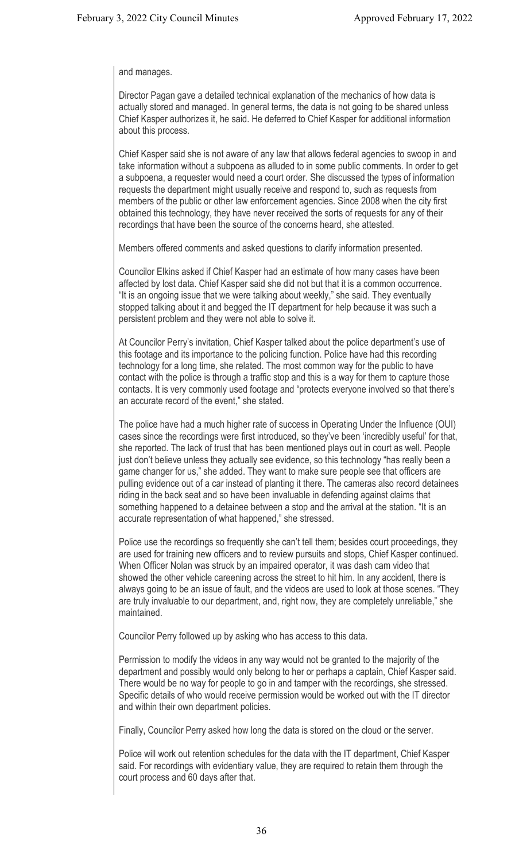## and manages.

Director Pagan gave a detailed technical explanation of the mechanics of how data is actually stored and managed. In general terms, the data is not going to be shared unless Chief Kasper authorizes it, he said. He deferred to Chief Kasper for additional information about this process.

Chief Kasper said she is not aware of any law that allows federal agencies to swoop in and take information without a subpoena as alluded to in some public comments. In order to get a subpoena, a requester would need a court order. She discussed the types of information requests the department might usually receive and respond to, such as requests from members of the public or other law enforcement agencies. Since 2008 when the city first obtained this technology, they have never received the sorts of requests for any of their recordings that have been the source of the concerns heard, she attested.

Members offered comments and asked questions to clarify information presented.

Councilor Elkins asked if Chief Kasper had an estimate of how many cases have been affected by lost data. Chief Kasper said she did not but that it is a common occurrence. "It is an ongoing issue that we were talking about weekly," she said. They eventually stopped talking about it and begged the IT department for help because it was such a persistent problem and they were not able to solve it.

At Councilor Perry's invitation, Chief Kasper talked about the police department's use of this footage and its importance to the policing function. Police have had this recording technology for a long time, she related. The most common way for the public to have contact with the police is through a traffic stop and this is a way for them to capture those contacts. It is very commonly used footage and "protects everyone involved so that there's an accurate record of the event," she stated.

The police have had a much higher rate of success in Operating Under the Influence (OUI) cases since the recordings were first introduced, so they've been 'incredibly useful' for that, she reported. The lack of trust that has been mentioned plays out in court as well. People just don't believe unless they actually see evidence, so this technology "has really been a game changer for us," she added. They want to make sure people see that officers are pulling evidence out of a car instead of planting it there. The cameras also record detainees riding in the back seat and so have been invaluable in defending against claims that something happened to a detainee between a stop and the arrival at the station. "It is an accurate representation of what happened," she stressed.

Police use the recordings so frequently she can't tell them; besides court proceedings, they are used for training new officers and to review pursuits and stops, Chief Kasper continued. When Officer Nolan was struck by an impaired operator, it was dash cam video that showed the other vehicle careening across the street to hit him. In any accident, there is always going to be an issue of fault, and the videos are used to look at those scenes. "They are truly invaluable to our department, and, right now, they are completely unreliable," she maintained.

Councilor Perry followed up by asking who has access to this data.

Permission to modify the videos in any way would not be granted to the majority of the department and possibly would only belong to her or perhaps a captain, Chief Kasper said. There would be no way for people to go in and tamper with the recordings, she stressed. Specific details of who would receive permission would be worked out with the IT director and within their own department policies.

Finally, Councilor Perry asked how long the data is stored on the cloud or the server.

Police will work out retention schedules for the data with the IT department, Chief Kasper said. For recordings with evidentiary value, they are required to retain them through the court process and 60 days after that.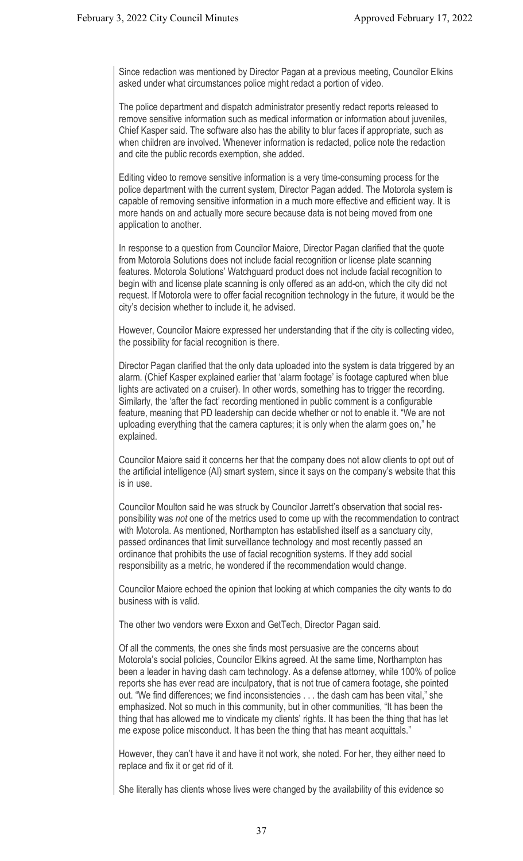Since redaction was mentioned by Director Pagan at a previous meeting, Councilor Elkins asked under what circumstances police might redact a portion of video.

The police department and dispatch administrator presently redact reports released to remove sensitive information such as medical information or information about juveniles, Chief Kasper said. The software also has the ability to blur faces if appropriate, such as when children are involved. Whenever information is redacted, police note the redaction and cite the public records exemption, she added.

Editing video to remove sensitive information is a very time-consuming process for the police department with the current system, Director Pagan added. The Motorola system is capable of removing sensitive information in a much more effective and efficient way. It is more hands on and actually more secure because data is not being moved from one application to another.

In response to a question from Councilor Maiore, Director Pagan clarified that the quote from Motorola Solutions does not include facial recognition or license plate scanning features. Motorola Solutions' Watchguard product does not include facial recognition to begin with and license plate scanning is only offered as an add-on, which the city did not request. If Motorola were to offer facial recognition technology in the future, it would be the city's decision whether to include it, he advised.

However, Councilor Maiore expressed her understanding that if the city is collecting video, the possibility for facial recognition is there.

Director Pagan clarified that the only data uploaded into the system is data triggered by an alarm. (Chief Kasper explained earlier that 'alarm footage' is footage captured when blue lights are activated on a cruiser). In other words, something has to trigger the recording. Similarly, the 'after the fact' recording mentioned in public comment is a configurable feature, meaning that PD leadership can decide whether or not to enable it. "We are not uploading everything that the camera captures; it is only when the alarm goes on," he explained.

Councilor Maiore said it concerns her that the company does not allow clients to opt out of the artificial intelligence (AI) smart system, since it says on the company's website that this is in use.

Councilor Moulton said he was struck by Councilor Jarrett's observation that social responsibility was *not* one of the metrics used to come up with the recommendation to contract with Motorola. As mentioned, Northampton has established itself as a sanctuary city, passed ordinances that limit surveillance technology and most recently passed an ordinance that prohibits the use of facial recognition systems. If they add social responsibility as a metric, he wondered if the recommendation would change.

Councilor Maiore echoed the opinion that looking at which companies the city wants to do business with is valid.

The other two vendors were Exxon and GetTech, Director Pagan said.

Of all the comments, the ones she finds most persuasive are the concerns about Motorola's social policies, Councilor Elkins agreed. At the same time, Northampton has been a leader in having dash cam technology. As a defense attorney, while 100% of police reports she has ever read are inculpatory, that is not true of camera footage, she pointed out. "We find differences; we find inconsistencies . . . the dash cam has been vital," she emphasized. Not so much in this community, but in other communities, "It has been the thing that has allowed me to vindicate my clients' rights. It has been the thing that has let me expose police misconduct. It has been the thing that has meant acquittals."

However, they can't have it and have it not work, she noted. For her, they either need to replace and fix it or get rid of it.

She literally has clients whose lives were changed by the availability of this evidence so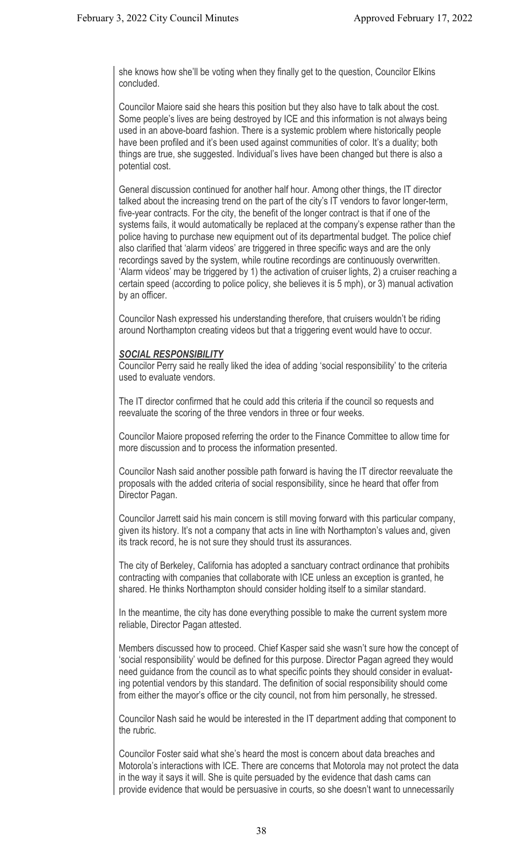she knows how she'll be voting when they finally get to the question, Councilor Elkins concluded.

Councilor Maiore said she hears this position but they also have to talk about the cost. Some people's lives are being destroyed by ICE and this information is not always being used in an above-board fashion. There is a systemic problem where historically people have been profiled and it's been used against communities of color. It's a duality; both things are true, she suggested. Individual's lives have been changed but there is also a potential cost.

General discussion continued for another half hour. Among other things, the IT director talked about the increasing trend on the part of the city's IT vendors to favor longer-term, five-year contracts. For the city, the benefit of the longer contract is that if one of the systems fails, it would automatically be replaced at the company's expense rather than the police having to purchase new equipment out of its departmental budget. The police chief also clarified that 'alarm videos' are triggered in three specific ways and are the only recordings saved by the system, while routine recordings are continuously overwritten. 'Alarm videos' may be triggered by 1) the activation of cruiser lights, 2) a cruiser reaching a certain speed (according to police policy, she believes it is 5 mph), or 3) manual activation by an officer.

Councilor Nash expressed his understanding therefore, that cruisers wouldn't be riding around Northampton creating videos but that a triggering event would have to occur.

## *SOCIAL RESPONSIBILITY*

Councilor Perry said he really liked the idea of adding 'social responsibility' to the criteria used to evaluate vendors.

The IT director confirmed that he could add this criteria if the council so requests and reevaluate the scoring of the three vendors in three or four weeks.

Councilor Maiore proposed referring the order to the Finance Committee to allow time for more discussion and to process the information presented.

Councilor Nash said another possible path forward is having the IT director reevaluate the proposals with the added criteria of social responsibility, since he heard that offer from Director Pagan.

Councilor Jarrett said his main concern is still moving forward with this particular company, given its history. It's not a company that acts in line with Northampton's values and, given its track record, he is not sure they should trust its assurances.

The city of Berkeley, California has adopted a sanctuary contract ordinance that prohibits contracting with companies that collaborate with ICE unless an exception is granted, he shared. He thinks Northampton should consider holding itself to a similar standard.

In the meantime, the city has done everything possible to make the current system more reliable, Director Pagan attested.

Members discussed how to proceed. Chief Kasper said she wasn't sure how the concept of 'social responsibility' would be defined for this purpose. Director Pagan agreed they would need guidance from the council as to what specific points they should consider in evaluating potential vendors by this standard. The definition of social responsibility should come from either the mayor's office or the city council, not from him personally, he stressed.

Councilor Nash said he would be interested in the IT department adding that component to the rubric.

Councilor Foster said what she's heard the most is concern about data breaches and Motorola's interactions with ICE. There are concerns that Motorola may not protect the data in the way it says it will. She is quite persuaded by the evidence that dash cams can provide evidence that would be persuasive in courts, so she doesn't want to unnecessarily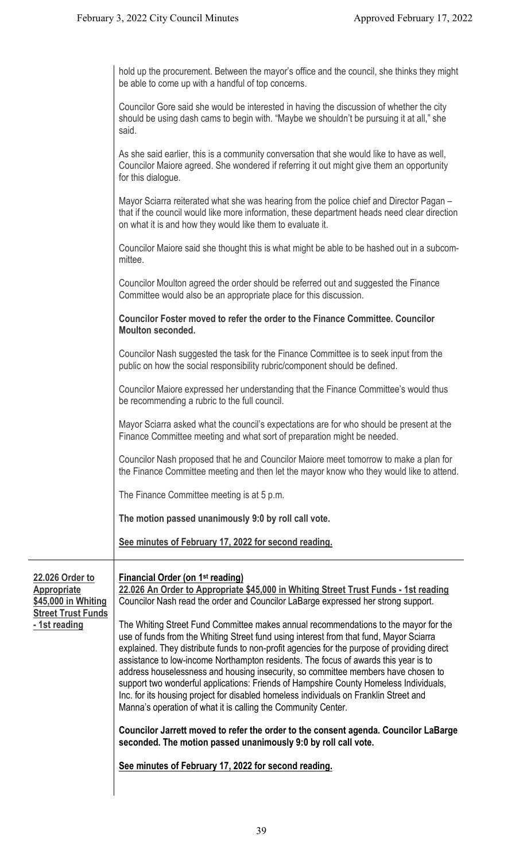|                                                                                                            | hold up the procurement. Between the mayor's office and the council, she thinks they might<br>be able to come up with a handful of top concerns.                                                                                                                                                                                                                                                                                                                                                                                                                                                                                                                                                            |
|------------------------------------------------------------------------------------------------------------|-------------------------------------------------------------------------------------------------------------------------------------------------------------------------------------------------------------------------------------------------------------------------------------------------------------------------------------------------------------------------------------------------------------------------------------------------------------------------------------------------------------------------------------------------------------------------------------------------------------------------------------------------------------------------------------------------------------|
|                                                                                                            | Councilor Gore said she would be interested in having the discussion of whether the city<br>should be using dash cams to begin with. "Maybe we shouldn't be pursuing it at all," she<br>said.                                                                                                                                                                                                                                                                                                                                                                                                                                                                                                               |
|                                                                                                            | As she said earlier, this is a community conversation that she would like to have as well,<br>Councilor Maiore agreed. She wondered if referring it out might give them an opportunity<br>for this dialogue.                                                                                                                                                                                                                                                                                                                                                                                                                                                                                                |
|                                                                                                            | Mayor Sciarra reiterated what she was hearing from the police chief and Director Pagan -<br>that if the council would like more information, these department heads need clear direction<br>on what it is and how they would like them to evaluate it.                                                                                                                                                                                                                                                                                                                                                                                                                                                      |
|                                                                                                            | Councilor Maiore said she thought this is what might be able to be hashed out in a subcom-<br>mittee.                                                                                                                                                                                                                                                                                                                                                                                                                                                                                                                                                                                                       |
|                                                                                                            | Councilor Moulton agreed the order should be referred out and suggested the Finance<br>Committee would also be an appropriate place for this discussion.                                                                                                                                                                                                                                                                                                                                                                                                                                                                                                                                                    |
|                                                                                                            | <b>Councilor Foster moved to refer the order to the Finance Committee. Councilor</b><br><b>Moulton seconded.</b>                                                                                                                                                                                                                                                                                                                                                                                                                                                                                                                                                                                            |
|                                                                                                            | Councilor Nash suggested the task for the Finance Committee is to seek input from the<br>public on how the social responsibility rubric/component should be defined.                                                                                                                                                                                                                                                                                                                                                                                                                                                                                                                                        |
|                                                                                                            | Councilor Maiore expressed her understanding that the Finance Committee's would thus<br>be recommending a rubric to the full council.                                                                                                                                                                                                                                                                                                                                                                                                                                                                                                                                                                       |
|                                                                                                            | Mayor Sciarra asked what the council's expectations are for who should be present at the<br>Finance Committee meeting and what sort of preparation might be needed.                                                                                                                                                                                                                                                                                                                                                                                                                                                                                                                                         |
|                                                                                                            | Councilor Nash proposed that he and Councilor Maiore meet tomorrow to make a plan for<br>the Finance Committee meeting and then let the mayor know who they would like to attend.                                                                                                                                                                                                                                                                                                                                                                                                                                                                                                                           |
|                                                                                                            | The Finance Committee meeting is at 5 p.m.                                                                                                                                                                                                                                                                                                                                                                                                                                                                                                                                                                                                                                                                  |
|                                                                                                            | The motion passed unanimously 9:0 by roll call vote.                                                                                                                                                                                                                                                                                                                                                                                                                                                                                                                                                                                                                                                        |
|                                                                                                            | See minutes of February 17, 2022 for second reading.                                                                                                                                                                                                                                                                                                                                                                                                                                                                                                                                                                                                                                                        |
| 22.026 Order to<br><b>Appropriate</b><br>\$45,000 in Whiting<br><b>Street Trust Funds</b><br>- 1st reading | <b>Financial Order (on 1st reading)</b><br>22.026 An Order to Appropriate \$45,000 in Whiting Street Trust Funds - 1st reading<br>Councilor Nash read the order and Councilor LaBarge expressed her strong support.                                                                                                                                                                                                                                                                                                                                                                                                                                                                                         |
|                                                                                                            | The Whiting Street Fund Committee makes annual recommendations to the mayor for the<br>use of funds from the Whiting Street fund using interest from that fund, Mayor Sciarra<br>explained. They distribute funds to non-profit agencies for the purpose of providing direct<br>assistance to low-income Northampton residents. The focus of awards this year is to<br>address houselessness and housing insecurity, so committee members have chosen to<br>support two wonderful applications: Friends of Hampshire County Homeless Individuals,<br>Inc. for its housing project for disabled homeless individuals on Franklin Street and<br>Manna's operation of what it is calling the Community Center. |
|                                                                                                            | Councilor Jarrett moved to refer the order to the consent agenda. Councilor LaBarge<br>seconded. The motion passed unanimously 9:0 by roll call vote.                                                                                                                                                                                                                                                                                                                                                                                                                                                                                                                                                       |
|                                                                                                            | See minutes of February 17, 2022 for second reading.                                                                                                                                                                                                                                                                                                                                                                                                                                                                                                                                                                                                                                                        |
|                                                                                                            |                                                                                                                                                                                                                                                                                                                                                                                                                                                                                                                                                                                                                                                                                                             |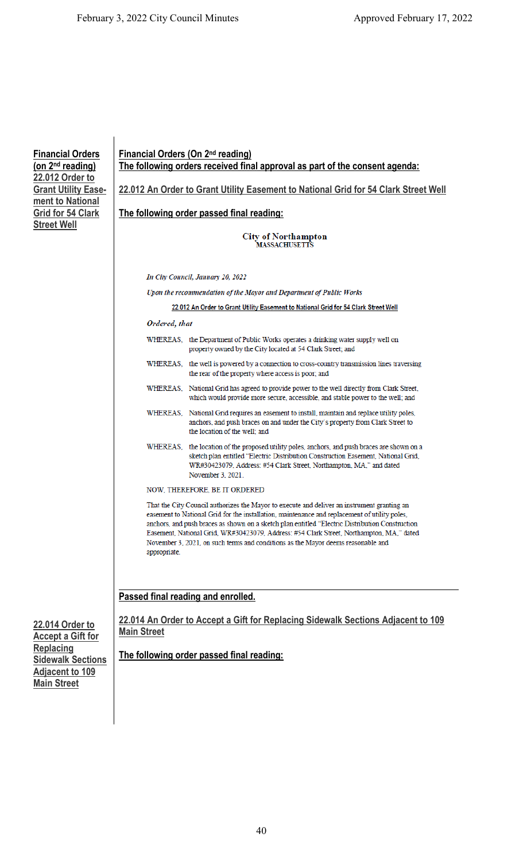**Financial Orders (on 2nd reading) 22.012 Order to Grant Utility Easement to National Grid for 54 Clark Street Well** 

| <b>Financial Orders (On 2nd reading)</b><br>The following orders received final approval as part of the consent agenda: |                                                                                                                                                                                                                                                                                                                                                                                                                                                                                 |
|-------------------------------------------------------------------------------------------------------------------------|---------------------------------------------------------------------------------------------------------------------------------------------------------------------------------------------------------------------------------------------------------------------------------------------------------------------------------------------------------------------------------------------------------------------------------------------------------------------------------|
|                                                                                                                         | 22.012 An Order to Grant Utility Easement to National Grid for 54 Clark Street Well                                                                                                                                                                                                                                                                                                                                                                                             |
|                                                                                                                         | The following order passed final reading:                                                                                                                                                                                                                                                                                                                                                                                                                                       |
|                                                                                                                         | <b>City of Northampton</b><br>MASSACHUSETTS                                                                                                                                                                                                                                                                                                                                                                                                                                     |
|                                                                                                                         | In City Council, January 20, 2022                                                                                                                                                                                                                                                                                                                                                                                                                                               |
|                                                                                                                         | Upon the recommendation of the Mayor and Department of Public Works                                                                                                                                                                                                                                                                                                                                                                                                             |
|                                                                                                                         | 22.012 An Order to Grant Utility Easement to National Grid for 54 Clark Street Well                                                                                                                                                                                                                                                                                                                                                                                             |
| Ordered, that                                                                                                           |                                                                                                                                                                                                                                                                                                                                                                                                                                                                                 |
|                                                                                                                         | WHEREAS, the Department of Public Works operates a drinking water supply well on<br>property owned by the City located at 54 Clark Street; and                                                                                                                                                                                                                                                                                                                                  |
|                                                                                                                         | WHEREAS, the well is powered by a connection to cross-country transmission lines traversing<br>the rear of the property where access is poor; and                                                                                                                                                                                                                                                                                                                               |
|                                                                                                                         | WHEREAS, National Grid has agreed to provide power to the well directly from Clark Street,<br>which would provide more secure, accessible, and stable power to the well; and                                                                                                                                                                                                                                                                                                    |
|                                                                                                                         | WHEREAS, National Grid requires an easement to install, maintain and replace utility poles,<br>anchors, and push braces on and under the City's property from Clark Street to<br>the location of the well; and                                                                                                                                                                                                                                                                  |
|                                                                                                                         | WHEREAS, the location of the proposed utility poles, anchors, and push braces are shown on a<br>sketch plan entitled "Electric Distribution Construction Easement, National Grid,<br>WR#30423079, Address: #54 Clark Street, Northampton, MA," and dated<br>November 3, 2021.                                                                                                                                                                                                   |
|                                                                                                                         | NOW, THEREFORE, BE IT ORDERED                                                                                                                                                                                                                                                                                                                                                                                                                                                   |
| appropriate.                                                                                                            | That the City Council authorizes the Mayor to execute and deliver an instrument granting an<br>easement to National Grid for the installation, maintenance and replacement of utility poles,<br>anchors, and push braces as shown on a sketch plan entitled "Electric Distribution Construction<br>Easement, National Grid, WR#30423079, Address: #54 Clark Street, Northampton, MA," dated<br>November 3, 2021, on such terms and conditions as the Mayor deems reasonable and |
|                                                                                                                         | Passed final reading and enrolled.<br>22.014 An Order to Accept a Gift for Replacing Sidewalk Sections Adjacent to 109                                                                                                                                                                                                                                                                                                                                                          |

**22.014 Order to Accept a Gift for Replacing Sidewalk Sections Adjacent to 109 Main Street** 

**22.014 An Order to Accept a Gift for Replacing Sidewalk Sections Adjacent to 109 Main Street** 

**The following order passed final reading:**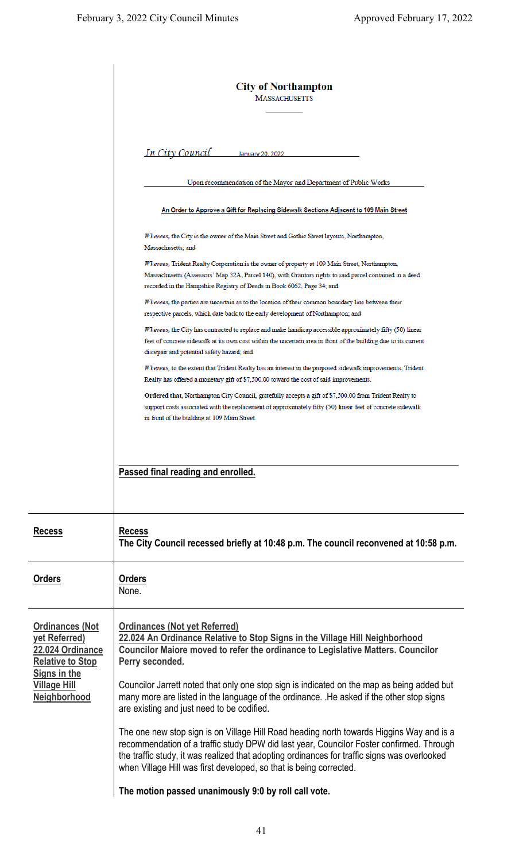|                                                                                                                                      | <b>City of Northampton</b><br><b>MASSACHUSETTS</b>                                                                                                                                                                                                                                                                                                         |
|--------------------------------------------------------------------------------------------------------------------------------------|------------------------------------------------------------------------------------------------------------------------------------------------------------------------------------------------------------------------------------------------------------------------------------------------------------------------------------------------------------|
|                                                                                                                                      | <u>In City Council</u><br>January 20, 2022                                                                                                                                                                                                                                                                                                                 |
|                                                                                                                                      | Upon recommendation of the Mayor and Department of Public Works                                                                                                                                                                                                                                                                                            |
|                                                                                                                                      | <u>An Order to Approve a Gift for Replacing Sidewalk Sections Adjacent to 109 Main Street</u>                                                                                                                                                                                                                                                              |
|                                                                                                                                      | Whereas, the City is the owner of the Main Street and Gothic Street layouts, Northampton,<br>Massachusetts; and                                                                                                                                                                                                                                            |
|                                                                                                                                      | Whereas, Trident Realty Corporation is the owner of property at 109 Main Street, Northampton,<br>Massachusetts (Assessors' Map 32A, Parcel 140), with Grantors rights to said parcel contained in a deed<br>recorded in the Hampshire Registry of Deeds in Book 6062, Page 34; and                                                                         |
|                                                                                                                                      | <i>Whereas,</i> the parties are uncertain as to the location of their common boundary line between their<br>respective parcels, which date back to the early development of Northampton; and                                                                                                                                                               |
|                                                                                                                                      | Whereas, the City has contracted to replace and make handicap accessible approximately fifty (50) linear<br>feet of concrete sidewalk at its own cost within the uncertain area in front of the building due to its current<br>disrepair and potential safety hazard; and                                                                                  |
|                                                                                                                                      | Whereas, to the extent that Trident Realty has an interest in the proposed sidewalk improvements, Trident<br>Realty has offered a monetary gift of \$7,500.00 toward the cost of said improvements.                                                                                                                                                        |
|                                                                                                                                      | Ordered that, Northampton City Council, gratefully accepts a gift of \$7,500.00 from Trident Realty to<br>support costs associated with the replacement of approximately fifty (50) linear feet of concrete sidewalk<br>in front of the building at 109 Main Street.                                                                                       |
|                                                                                                                                      | Passed final reading and enrolled.                                                                                                                                                                                                                                                                                                                         |
| <b>Recess</b>                                                                                                                        | <b>Recess</b><br>The City Council recessed briefly at 10:48 p.m. The council reconvened at 10:58 p.m.                                                                                                                                                                                                                                                      |
| <b>Orders</b>                                                                                                                        | <b>Orders</b><br>None.                                                                                                                                                                                                                                                                                                                                     |
| <b>Ordinances (Not</b><br>yet Referred)<br>22.024 Ordinance<br><b>Relative to Stop</b><br><b>Signs in the</b><br><b>Village Hill</b> | <b>Ordinances (Not yet Referred)</b><br>22.024 An Ordinance Relative to Stop Signs in the Village Hill Neighborhood<br>Councilor Maiore moved to refer the ordinance to Legislative Matters. Councilor<br>Perry seconded.<br>Councilor Jarrett noted that only one stop sign is indicated on the map as being added but                                    |
| Neighborhood                                                                                                                         | many more are listed in the language of the ordinance. He asked if the other stop signs<br>are existing and just need to be codified.                                                                                                                                                                                                                      |
|                                                                                                                                      | The one new stop sign is on Village Hill Road heading north towards Higgins Way and is a<br>recommendation of a traffic study DPW did last year, Councilor Foster confirmed. Through<br>the traffic study, it was realized that adopting ordinances for traffic signs was overlooked<br>when Village Hill was first developed, so that is being corrected. |
|                                                                                                                                      | The motion passed unanimously 9:0 by roll call vote.                                                                                                                                                                                                                                                                                                       |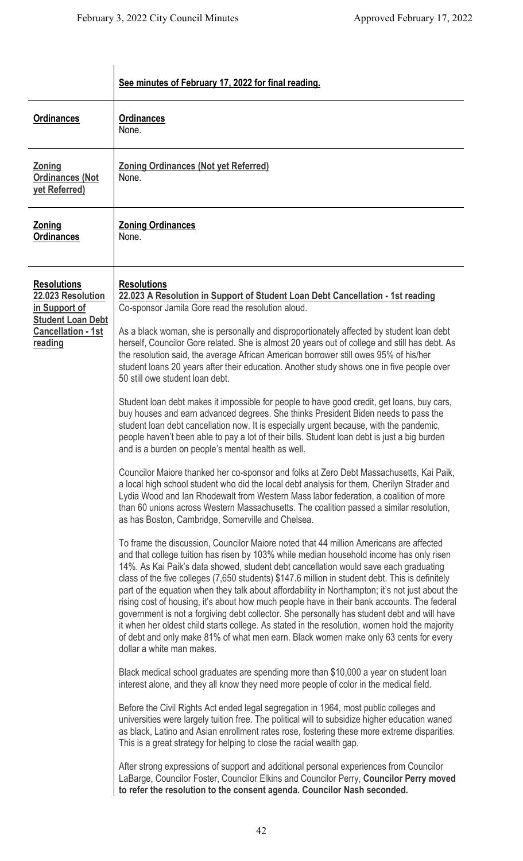|                                                                                                                              | See minutes of February 17, 2022 for final reading.                                                                                                                                                                                                                                                                                                                                                                                                                                                                                                                                                                                                                                                                                                                                                                                                                                                                                                                                                                                                                                                                                                                                                                                                                                                                                                                                                                                                                                                                                                                                                                                                                                                                                                                                                                                                                                                                                                                                                                                                                                                                                                                                                                                                                                                                                                                                                                                                                                                                                                                                                                                                                                                                                                                                                                                                                                                                                                                                                                                                                                                                                                                             |
|------------------------------------------------------------------------------------------------------------------------------|---------------------------------------------------------------------------------------------------------------------------------------------------------------------------------------------------------------------------------------------------------------------------------------------------------------------------------------------------------------------------------------------------------------------------------------------------------------------------------------------------------------------------------------------------------------------------------------------------------------------------------------------------------------------------------------------------------------------------------------------------------------------------------------------------------------------------------------------------------------------------------------------------------------------------------------------------------------------------------------------------------------------------------------------------------------------------------------------------------------------------------------------------------------------------------------------------------------------------------------------------------------------------------------------------------------------------------------------------------------------------------------------------------------------------------------------------------------------------------------------------------------------------------------------------------------------------------------------------------------------------------------------------------------------------------------------------------------------------------------------------------------------------------------------------------------------------------------------------------------------------------------------------------------------------------------------------------------------------------------------------------------------------------------------------------------------------------------------------------------------------------------------------------------------------------------------------------------------------------------------------------------------------------------------------------------------------------------------------------------------------------------------------------------------------------------------------------------------------------------------------------------------------------------------------------------------------------------------------------------------------------------------------------------------------------------------------------------------------------------------------------------------------------------------------------------------------------------------------------------------------------------------------------------------------------------------------------------------------------------------------------------------------------------------------------------------------------------------------------------------------------------------------------------------------------|
| <b>Ordinances</b>                                                                                                            | <b>Ordinances</b><br>None.                                                                                                                                                                                                                                                                                                                                                                                                                                                                                                                                                                                                                                                                                                                                                                                                                                                                                                                                                                                                                                                                                                                                                                                                                                                                                                                                                                                                                                                                                                                                                                                                                                                                                                                                                                                                                                                                                                                                                                                                                                                                                                                                                                                                                                                                                                                                                                                                                                                                                                                                                                                                                                                                                                                                                                                                                                                                                                                                                                                                                                                                                                                                                      |
| <b>Zoning</b><br><b>Ordinances (Not</b><br>yet Referred)                                                                     | <b>Zoning Ordinances (Not yet Referred)</b><br>None.                                                                                                                                                                                                                                                                                                                                                                                                                                                                                                                                                                                                                                                                                                                                                                                                                                                                                                                                                                                                                                                                                                                                                                                                                                                                                                                                                                                                                                                                                                                                                                                                                                                                                                                                                                                                                                                                                                                                                                                                                                                                                                                                                                                                                                                                                                                                                                                                                                                                                                                                                                                                                                                                                                                                                                                                                                                                                                                                                                                                                                                                                                                            |
| Zoning<br><b>Ordinances</b>                                                                                                  | <b>Zoning Ordinances</b><br>None.                                                                                                                                                                                                                                                                                                                                                                                                                                                                                                                                                                                                                                                                                                                                                                                                                                                                                                                                                                                                                                                                                                                                                                                                                                                                                                                                                                                                                                                                                                                                                                                                                                                                                                                                                                                                                                                                                                                                                                                                                                                                                                                                                                                                                                                                                                                                                                                                                                                                                                                                                                                                                                                                                                                                                                                                                                                                                                                                                                                                                                                                                                                                               |
| <b>Resolutions</b><br>22.023 Resolution<br>in Support of<br><b>Student Loan Debt</b><br><b>Cancellation - 1st</b><br>reading | <b>Resolutions</b><br>22.023 A Resolution in Support of Student Loan Debt Cancellation - 1st reading<br>Co-sponsor Jamila Gore read the resolution aloud.<br>As a black woman, she is personally and disproportionately affected by student loan debt<br>herself, Councilor Gore related. She is almost 20 years out of college and still has debt. As<br>the resolution said, the average African American borrower still owes 95% of his/her<br>student loans 20 years after their education. Another study shows one in five people over<br>50 still owe student loan debt.<br>Student loan debt makes it impossible for people to have good credit, get loans, buy cars,<br>buy houses and earn advanced degrees. She thinks President Biden needs to pass the<br>student loan debt cancellation now. It is especially urgent because, with the pandemic,<br>people haven't been able to pay a lot of their bills. Student loan debt is just a big burden<br>and is a burden on people's mental health as well.<br>Councilor Maiore thanked her co-sponsor and folks at Zero Debt Massachusetts, Kai Paik,<br>a local high school student who did the local debt analysis for them, Cherilyn Strader and<br>Lydia Wood and Ian Rhodewalt from Western Mass labor federation, a coalition of more<br>than 60 unions across Western Massachusetts. The coalition passed a similar resolution,<br>as has Boston, Cambridge, Somerville and Chelsea.<br>To frame the discussion, Councilor Maiore noted that 44 million Americans are affected<br>and that college tuition has risen by 103% while median household income has only risen<br>14%. As Kai Paik's data showed, student debt cancellation would save each graduating<br>class of the five colleges (7,650 students) \$147.6 million in student debt. This is definitely<br>part of the equation when they talk about affordability in Northampton; it's not just about the<br>rising cost of housing, it's about how much people have in their bank accounts. The federal<br>government is not a forgiving debt collector. She personally has student debt and will have<br>it when her oldest child starts college. As stated in the resolution, women hold the majority<br>of debt and only make 81% of what men earn. Black women make only 63 cents for every<br>dollar a white man makes.<br>Black medical school graduates are spending more than \$10,000 a year on student loan<br>interest alone, and they all know they need more people of color in the medical field.<br>Before the Civil Rights Act ended legal segregation in 1964, most public colleges and<br>universities were largely tuition free. The political will to subsidize higher education waned<br>as black, Latino and Asian enrollment rates rose, fostering these more extreme disparities.<br>This is a great strategy for helping to close the racial wealth gap.<br>After strong expressions of support and additional personal experiences from Councilor<br>LaBarge, Councilor Foster, Councilor Elkins and Councilor Perry, Councilor Perry moved<br>to refer the resolution to the consent agenda. Councilor Nash seconded. |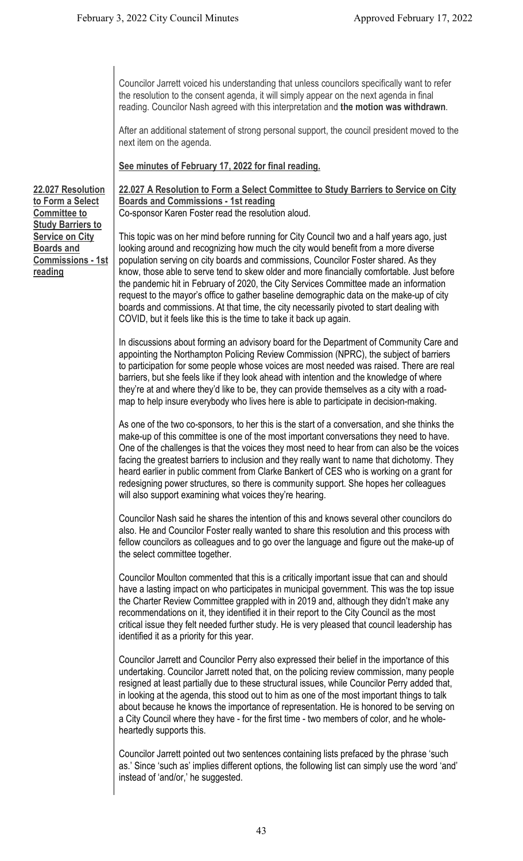Councilor Jarrett voiced his understanding that unless councilors specifically want to refer the resolution to the consent agenda, it will simply appear on the next agenda in final reading. Councilor Nash agreed with this interpretation and **the motion was withdrawn**.

After an additional statement of strong personal support, the council president moved to the next item on the agenda.

**See minutes of February 17, 2022 for final reading.**

**22.027 Resolution to Form a Select Committee to Study Barriers to Service on City Boards and Commissions - 1st reading**

**22.027 A Resolution to Form a Select Committee to Study Barriers to Service on City Boards and Commissions - 1st reading** Co-sponsor Karen Foster read the resolution aloud.

This topic was on her mind before running for City Council two and a half years ago, just looking around and recognizing how much the city would benefit from a more diverse population serving on city boards and commissions, Councilor Foster shared. As they know, those able to serve tend to skew older and more financially comfortable. Just before the pandemic hit in February of 2020, the City Services Committee made an information request to the mayor's office to gather baseline demographic data on the make-up of city boards and commissions. At that time, the city necessarily pivoted to start dealing with COVID, but it feels like this is the time to take it back up again.

In discussions about forming an advisory board for the Department of Community Care and appointing the Northampton Policing Review Commission (NPRC), the subject of barriers to participation for some people whose voices are most needed was raised. There are real barriers, but she feels like if they look ahead with intention and the knowledge of where they're at and where they'd like to be, they can provide themselves as a city with a roadmap to help insure everybody who lives here is able to participate in decision-making.

As one of the two co-sponsors, to her this is the start of a conversation, and she thinks the make-up of this committee is one of the most important conversations they need to have. One of the challenges is that the voices they most need to hear from can also be the voices facing the greatest barriers to inclusion and they really want to name that dichotomy. They heard earlier in public comment from Clarke Bankert of CES who is working on a grant for redesigning power structures, so there is community support. She hopes her colleagues will also support examining what voices they're hearing.

Councilor Nash said he shares the intention of this and knows several other councilors do also. He and Councilor Foster really wanted to share this resolution and this process with fellow councilors as colleagues and to go over the language and figure out the make-up of the select committee together.

Councilor Moulton commented that this is a critically important issue that can and should have a lasting impact on who participates in municipal government. This was the top issue the Charter Review Committee grappled with in 2019 and, although they didn't make any recommendations on it, they identified it in their report to the City Council as the most critical issue they felt needed further study. He is very pleased that council leadership has identified it as a priority for this year.

Councilor Jarrett and Councilor Perry also expressed their belief in the importance of this undertaking. Councilor Jarrett noted that, on the policing review commission, many people resigned at least partially due to these structural issues, while Councilor Perry added that, in looking at the agenda, this stood out to him as one of the most important things to talk about because he knows the importance of representation. He is honored to be serving on a City Council where they have - for the first time - two members of color, and he wholeheartedly supports this.

Councilor Jarrett pointed out two sentences containing lists prefaced by the phrase 'such as.' Since 'such as' implies different options, the following list can simply use the word 'and' instead of 'and/or,' he suggested.